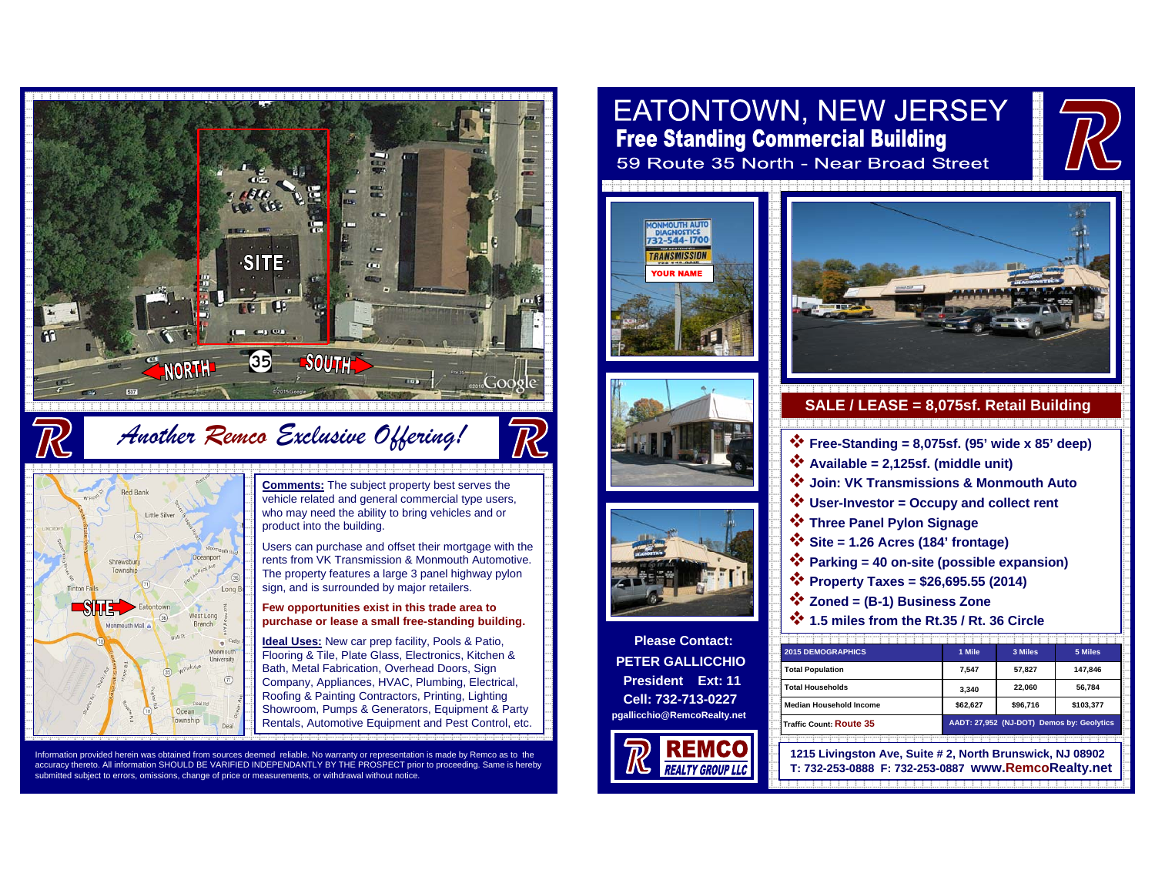

*Another Remco Exclusive Offering!*



**Comments:** The subject property best serves the vehicle related and general commercial type users, who may need the ability to bring vehicles and or product into the building.

TR

Users can purchase and offset their mortgage with the rents from VK Transmission & Monmouth Automotive. The property features a large 3 panel highway pylon sign, and is surrounded by major retailers.

### **Few opportunities exist in this trade area to purchase or lease a small free-standing building.**

**Ideal Uses:** New car prep facility, Pools & Patio, Flooring & Tile, Plate Glass, Electronics, Kitchen & Bath, Metal Fabrication, Overhead Doors, Sign Company, Appliances, HVAC, Plumbing, Electrical, Roofing & Painting Contractors, Printing, Lighting Showroom, Pumps & Generators, Equipment & Party Rentals, Automotive Equipment and Pest Control, etc.

Information provided herein was obtained from sources deemed reliable. No warranty or representation is made by Remco as to the accuracy thereto. All information SHOULD BE VARIFIED INDEPENDANTLY BY THE PROSPECT prior to proceeding. Same is hereby submitted subject to errors, omissions, change of price or measurements, or withdrawal without notice.

# EATONTOWN, NEW JERSEY **Free Standing Commercial Building** 59 Route 35 North - Near Broad Street







**Please Contact: PETER GALLICCHIOPresident Ext: 11Cell: 732-713-0227pgallicchio@RemcoRealty.net**









- **Zoned = (B-1) Business Zone**
- **1.5 miles from the Rt.35 / Rt. 36 Circle**

| <b>2015 DEMOGRAPHICS</b>       | 1 Mile                                    | 3 Miles  | 5 Miles   |
|--------------------------------|-------------------------------------------|----------|-----------|
| <b>Total Population</b>        | 7.547                                     | 57.827   | 147.846   |
| <b>Total Households</b>        | 3.340                                     | 22.060   | 56.784    |
| <b>Median Household Income</b> | \$62.627                                  | \$96.716 | \$103.377 |
| Traffic Count: Route 35        | AADT: 27,952 (NJ-DOT) Demos by: Geolytics |          |           |

**1215 Livingston Ave, Suite # 2, North Brunswick, NJ 08902 T: 732-253-0888 F: 732-253-0887 www.RemcoRealty.net**